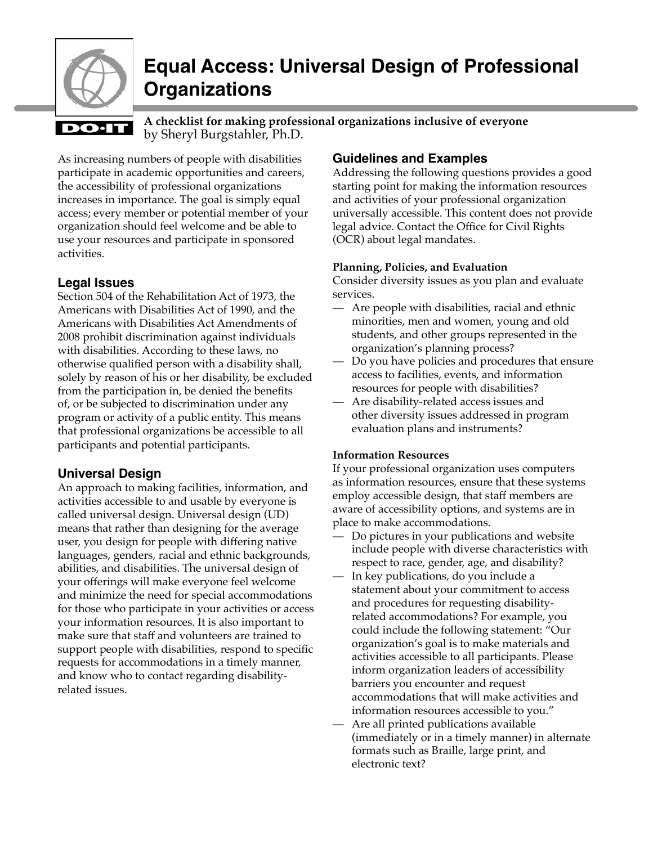

# **Equal Access: Universal Design of Professional Organizations**

# **DO**·IT

by Sheryl Burgstahler, Ph.D. **A checklist for making professional organizations inclusive of everyone**

As increasing numbers of people with disabilities participate in academic opportunities and careers, the accessibility of professional organizations increases in importance. The goal is simply equal access; every member or potential member of your organization should feel welcome and be able to use your resources and participate in sponsored activities.

# **Legal Issues**

Section 504 of the Rehabilitation Act of 1973, the Americans with Disabilities Act of 1990, and the Americans with Disabilities Act Amendments of 2008 prohibit discrimination against individuals with disabilities. According to these laws, no otherwise qualified person with a disability shall, solely by reason of his or her disability, be excluded from the participation in, be denied the benefits of, or be subjected to discrimination under any program or activity of a public entity. This means that professional organizations be accessible to all participants and potential participants.

# **Universal Design**

An approach to making facilities, information, and activities accessible to and usable by everyone is called universal design. Universal design (UD) means that rather than designing for the average user, you design for people with differing native languages, genders, racial and ethnic backgrounds, abilities, and disabilities. The universal design of your offerings will make everyone feel welcome and minimize the need for special accommodations for those who participate in your activities or access your information resources. It is also important to make sure that staff and volunteers are trained to support people with disabilities, respond to specific requests for accommodations in a timely manner, and know who to contact regarding disabilityrelated issues.

# **Guidelines and Examples**

Addressing the following questions provides a good starting point for making the information resources and activities of your professional organization universally accessible. This content does not provide legal advice. Contact the Office for Civil Rights (OCR) about legal mandates.

## **Planning, Policies, and Evaluation**

Consider diversity issues as you plan and evaluate services.

- Are people with disabilities, racial and ethnic minorities, men and women, young and old students, and other groups represented in the organization's planning process?
- Do you have policies and procedures that ensure access to facilities, events, and information resources for people with disabilities?
- Are disability-related access issues and other diversity issues addressed in program evaluation plans and instruments?

### **Information Resources**

If your professional organization uses computers as information resources, ensure that these systems employ accessible design, that staff members are aware of accessibility options, and systems are in place to make accommodations.

- Do pictures in your publications and website include people with diverse characteristics with respect to race, gender, age, and disability?
- In key publications, do you include a statement about your commitment to access and procedures for requesting disabilityrelated accommodations? For example, you could include the following statement: "Our organization's goal is to make materials and activities accessible to all participants. Please inform organization leaders of accessibility barriers you encounter and request accommodations that will make activities and information resources accessible to you."
- Are all printed publications available (immediately or in a timely manner) in alternate formats such as Braille, large print, and electronic text?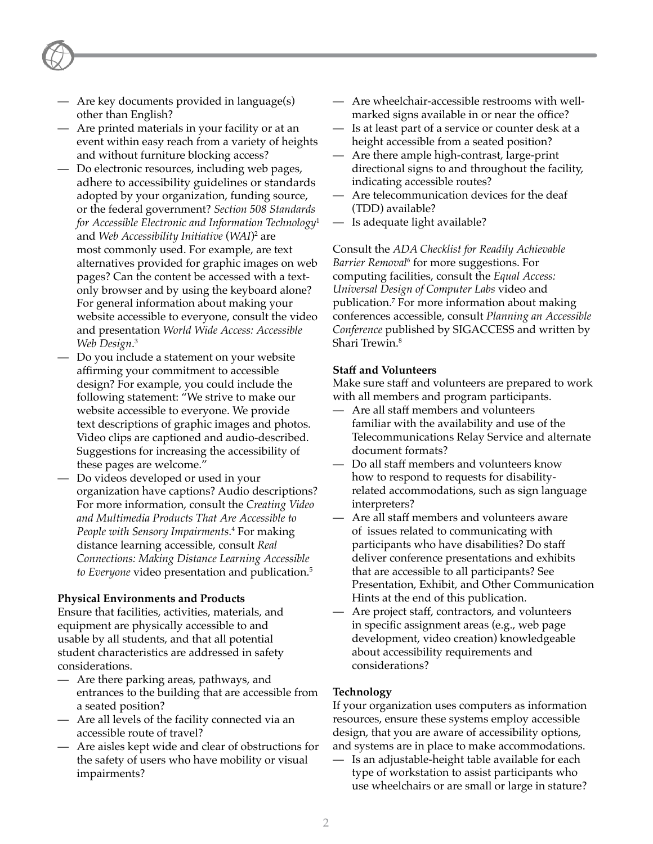- Are key documents provided in language(s) other than English?
- Are printed materials in your facility or at an event within easy reach from a variety of heights and without furniture blocking access?
- Do electronic resources, including web pages, adhere to accessibility guidelines or standards adopted by your organization, funding source, or the federal government? *[Section 508 Standards](http://www.access-board.gov/sec508/guide/)  [for Accessible Electronic and Information Technology](http://www.access-board.gov/sec508/guide/)*<sup>1</sup> and *[Web Accessibility Initiative](http://www.w3.org/WAI/)* (*WAI*)2 are most commonly used. For example, are text alternatives provided for graphic images on web pages? Can the content be accessed with a textonly browser and by using the keyboard alone? For general information about making your website accessible to everyone, consult the video and presentation *[World Wide Access: Accessible](www.washington.edu/doit/Video/www.html)  [Web Design](www.washington.edu/doit/Video/www.html)*. 3
- Do you include a statement on your website affirming your commitment to accessible design? For example, you could include the following statement: "We strive to make our website accessible to everyone. We provide text descriptions of graphic images and photos. Video clips are captioned and audio-described. Suggestions for increasing the accessibility of these pages are welcome."
- Do videos developed or used in your organization have captions? Audio descriptions? For more information, consult the *[Creating Video](http://www.washington.edu/doit/Brochures/Technology/vid_sensory.html)  [and Multimedia Products That Are Accessible to](http://www.washington.edu/doit/Brochures/Technology/vid_sensory.html)  [People with Sensory Impairments](http://www.washington.edu/doit/Brochures/Technology/vid_sensory.html)*. 4 For making distance learning accessible, consult *[Real](http://www.washington.edu/doit/Video/real_con.html)  [Connections: Making Distance Learning Accessible](http://www.washington.edu/doit/Video/real_con.html)  to Everyone* [video presentation and publication.](http://www.washington.edu/doit/Video/real_con.html) 5

#### **Physical Environments and Products**

Ensure that facilities, activities, materials, and equipment are physically accessible to and usable by all students, and that all potential student characteristics are addressed in safety considerations.

- Are there parking areas, pathways, and entrances to the building that are accessible from a seated position?
- Are all levels of the facility connected via an accessible route of travel?
- Are aisles kept wide and clear of obstructions for the safety of users who have mobility or visual impairments?
- Are wheelchair-accessible restrooms with wellmarked signs available in or near the office?
- Is at least part of a service or counter desk at a height accessible from a seated position?
- Are there ample high-contrast, large-print directional signs to and throughout the facility, indicating accessible routes?
- Are telecommunication devices for the deaf (TDD) available?
- Is adequate light available?

Consult the *[ADA Checklist for Readily Achievable](http://ada.gov/checkweb.htm)  [Barrier Removal6](http://ada.gov/checkweb.htm)* for more suggestions. For computing facilities, consult the *[Equal Access:](http://www.washington.edu/doit/Video/equal.html)  [Universal Design of Computer Labs](http://www.washington.edu/doit/Video/equal.html)* video and [publication.](http://www.washington.edu/doit/Video/equal.html) 7 For more information about making conferences accessible, consult *[Planning an Accessible](http://www.sigaccess.org/community/accessible_conference/)  Conference* [published by SIGACCESS and written by](http://www.sigaccess.org/community/accessible_conference/)  [Shari Trewin](http://www.sigaccess.org/community/accessible_conference/). 8

#### **Staff and Volunteers**

Make sure staff and volunteers are prepared to work with all members and program participants.

- Are all staff members and volunteers familiar with the availability and use of the Telecommunications Relay Service and alternate document formats?
- Do all staff members and volunteers know how to respond to requests for disabilityrelated accommodations, such as sign language interpreters?
- Are all staff members and volunteers aware of issues related to communicating with participants who have disabilities? Do staff deliver conference presentations and exhibits that are accessible to all participants? See Presentation, Exhibit, and Other Communication Hints at the end of this publication.
- Are project staff, contractors, and volunteers in specific assignment areas (e.g., web page development, video creation) knowledgeable about accessibility requirements and considerations?

#### **Technology**

If your organization uses computers as information resources, ensure these systems employ accessible design, that you are aware of accessibility options, and systems are in place to make accommodations.

— Is an adjustable-height table available for each type of workstation to assist participants who use wheelchairs or are small or large in stature?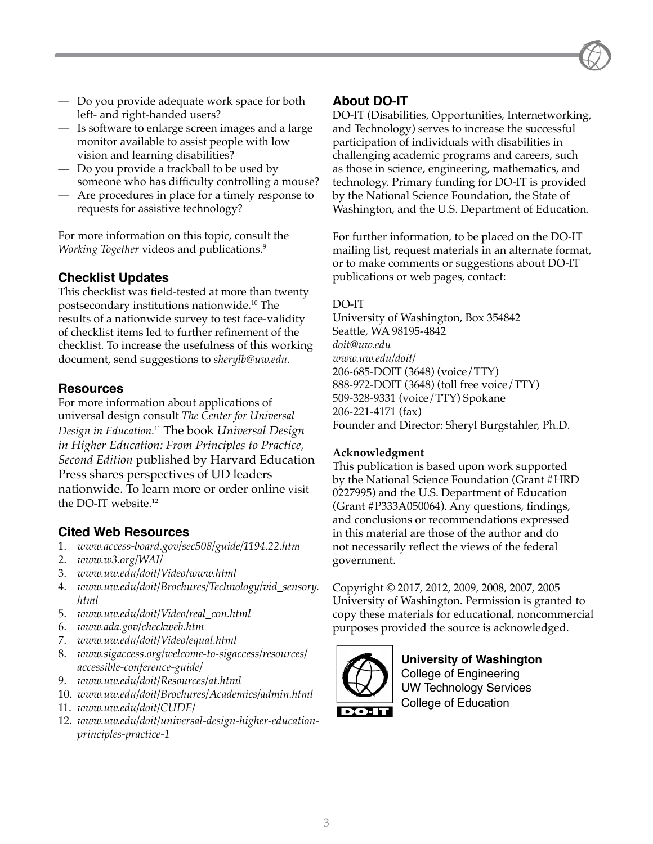- Do you provide adequate work space for both left- and right-handed users?
- Is software to enlarge screen images and a large monitor available to assist people with low vision and learning disabilities?
- Do you provide a trackball to be used by someone who has difficulty controlling a mouse?
- Are procedures in place for a timely response to requests for assistive technology?

For more information on this topic, consult the *Working Together* [videos and publications.](http://www.washington.edu/doit/Resources/at.html) 9

#### **Checklist Updates**

This checklist was field-tested at more than twenty [postsecondary institutions nationwide.](http://www.washington.edu/doit/Brochures/Academics/admin.html) 10 The results of a nationwide survey to test face-validity of checklist items led to further refinement of the checklist. To increase the usefulness of this working document, send suggestions to *[sherylb@uw.edu](mailto:sherylb@uw.edu)*.

#### **Resources**

For more information about applications of universal design consult *The [Center for Universal](http://www.uw.edu/doit/CUDE/)  [Design in Education](http://www.uw.edu/doit/CUDE/).* <sup>11</sup> The book *Universal Design in Higher Education: From Principles to Practice, Second Edition* published by Harvard Education Press shares perspectives of UD leaders nationwide. To learn more or order online visit the [DO-IT website.](http://www.uw.edu/doit/UDHE/coupon.html) 12

#### **Cited Web Resources**

- 1. *[www.access-board.gov/sec508/guide/1194.22.htm](http://www.access-board.gov/sec508/guide/1194.22.htm)*
- 2. *[www.w3.org/WAI/](http://www.w3.org/WAI/)*
- 3. *[www.uw.edu/doit/Video/www.html](www.washington.edu/doit/Video/www.html)*
- 4. *[www.uw.edu/doit/Brochures/Technology/vid\\_sensory.](http://www.washington.edu/doit/Brochures/Technology/vid_sensory.html) [html](http://www.washington.edu/doit/Brochures/Technology/vid_sensory.html)*
- 5. *[www.uw.edu/doit/Video/real\\_con.html](http://www.washington.edu/doit/Video/real_con.html)*
- 6. *[www.ada.gov/checkweb.htm](http://www.ada.gov/checkweb.htm)*
- 7. *[www.uw.edu/doit/Video/equal.html](http://www.washington.edu/doit/Video/equal.html)*
- 8. *[www.sigaccess.org/welcome-to-sigaccess/resources/](http://www.sigaccess.org/welcome-to-sigaccess/resources/accessible-conference-guide/) [accessible-conference-guide/](http://www.sigaccess.org/welcome-to-sigaccess/resources/accessible-conference-guide/)*
- 9. *[www.uw.edu/doit/Resources/at.html](http://www.washington.edu/doit/Resources/at.html)*
- 10. *[www.uw.edu/doit/Brochures/Academics/admin.html](http://www.washington.edu/doit/Brochures/Academics/admin.html)*
- 11. *[www.uw.edu/doit/CUDE/](http://www.uw.edu/doit/CUDE/)*
- 12. *[www.uw.edu/doit/universal-design-higher-education](http://www.uw.edu/doit/universal-design-higher-education-principles-practice-1)[principles-practice-1](http://www.uw.edu/doit/universal-design-higher-education-principles-practice-1)*

#### **About DO-IT**

DO-IT (Disabilities, Opportunities, Internetworking, and Technology) serves to increase the successful participation of individuals with disabilities in challenging academic programs and careers, such as those in science, engineering, mathematics, and technology. Primary funding for DO-IT is provided by the National Science Foundation, the State of Washington, and the U.S. Department of Education.

For further information, to be placed on the DO-IT mailing list, request materials in an alternate format, or to make comments or suggestions about DO-IT publications or web pages, contact:

#### DO-IT

University of Washington, Box 354842 Seattle, WA 98195-4842 *[doit@uw.edu](mailto:doit@uw.edu) [www.uw.edu/doit/](http://www.uw.edu/doit/)* 206-685-DOIT (3648) (voice/TTY) 888-972-DOIT (3648) (toll free voice/TTY) 509-328-9331 (voice/TTY) Spokane 206-221-4171 (fax) Founder and Director: Sheryl Burgstahler, Ph.D.

#### **Acknowledgment**

This publication is based upon work supported by the National Science Foundation (Grant #HRD 0227995) and the U.S. Department of Education (Grant #P333A050064). Any questions, findings, and conclusions or recommendations expressed in this material are those of the author and do not necessarily reflect the views of the federal government.

Copyright © 2017, 2012, 2009, 2008, 2007, 2005 University of Washington. Permission is granted to copy these materials for educational, noncommercial purposes provided the source is acknowledged.



#### **University of Washington** College of Engineering UW Technology Services

College of Education